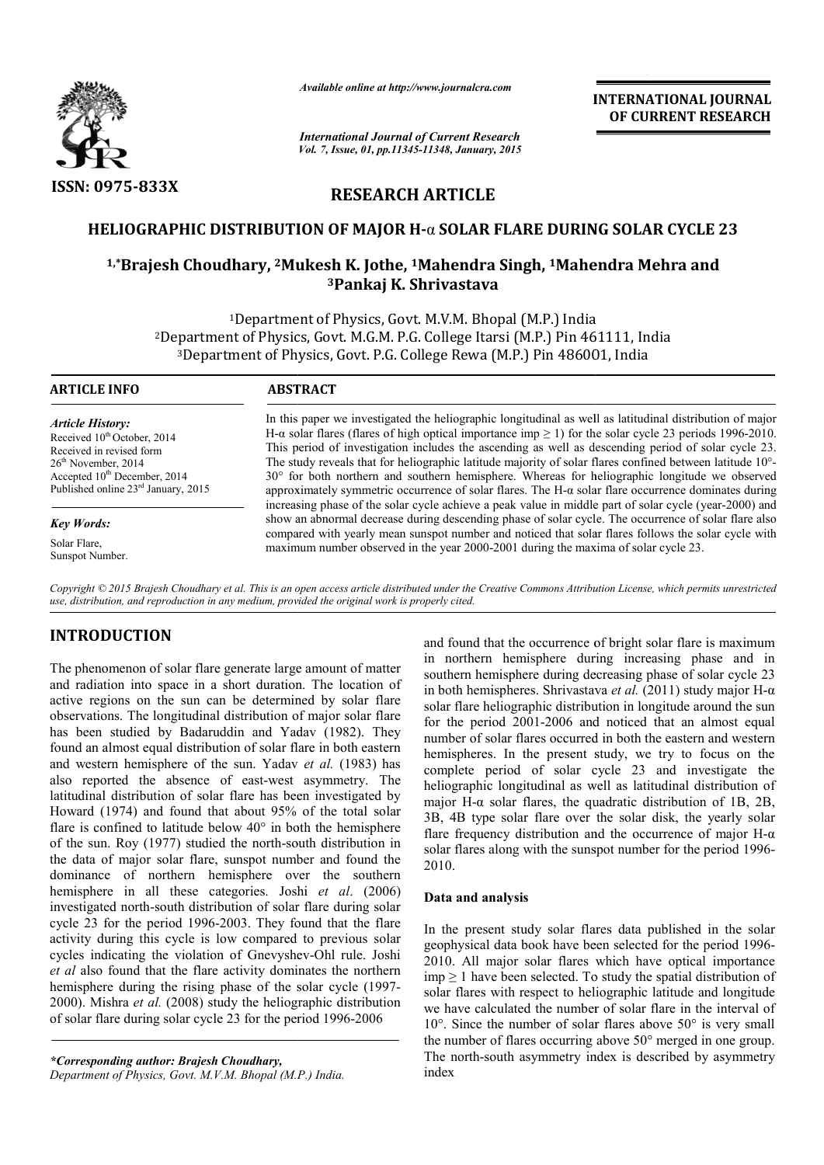

*Available online at http://www.journalcra.com*

*International Journal of Current Research Vol. 7, Issue, 01, pp.11345-11348, January, 2015* **INTERNATIONAL INTERNATIONAL JOURNAL OF CURRENT RESEARCH** 

# **RESEARCH ARTICLE**

## **HELIOGRAPHIC DISTRIBUTION OF MAJOR H H-**α **SOLAR FLARE DURING SOLAR CYCLE 23**

# <sup>1,\*</sup>Brajesh Choudhary, <sup>2</sup>Mukesh K. Jothe, <sup>1</sup>Mahendra Singh, <sup>1</sup>Mahendra Mehra and **3Pankaj K. Shrivastava**

1Department of Physics, Govt. M.V.M. Bhopal (M.P.) India 2Department of Physics, Govt. M.G.M. P.G. College Itarsi (M.P.) Pin 461111, India Pin 461111, 3Department of Physics, Govt. P.G. College Rewa (M.P.) Pin 486001, India <sup>1</sup>Department of Physics, Govt<br>Department of Physics, Govt. M.G.M. P.C<br><sup>3</sup>Department of Physics, Govt. P.G. Co

#### **ARTICLE INFO ABSTRACT**

*Article History:* Received  $10^{th}$  October, 2014 Received in revised form  $26<sup>th</sup>$  November, 2014 Accepted 10<sup>th</sup> December, 2014 Published online 23rd January, 2015

*Key Words:*

Solar Flare, Sunspot Number. In this paper we investigated the heliographic longitudinal as well as latitudinal distribution of major In this paper we investigated the heliographic longitudinal as well as latitudinal distribution of major H- $\alpha$  solar flares (flares of high optical importance imp  $\geq 1$ ) for the solar cycle 23 periods 1996-2010. This period of investigation includes the ascending as well as descending period of solar cycle 23. This period of investigation includes the ascending as well as descending period of solar cycle 23.<br>The study reveals that for heliographic latitude majority of solar flares confined between latitude  $10^{\circ}$ - $30^{\circ}$  for both northern and southern hemisphere. Whereas for heliographic longitude we observed approximately symmetric occurrence of solar flares. The H H-α solar flare occurrence dominates during approximately symmetric occurrence of solar flares. The H- $\alpha$  solar flare occurrence dominates during increasing phase of the solar cycle achieve a peak value in middle part of solar cycle (year-2000) and show an abnormal decrease during descending phase of solar cycle. The occurrence of solar flare also compared with yearly mean sunspot number and noticed that solar flares follows the solar cycle with maximum number observed in the year 2000-2001 during the maxima of solar cycle 23. g phase of solar cycle. The occurrence of solar flare and noticed that solar flares follows the solar cycle 2001 during the maxima of solar cycle 23.

*Copyright © 2015 Brajesh Choudhary et al. This is an open access article distributed under the Creative Commons Att Attribution License, which ribution which permits unrestricted use, distribution, and reproduction in any medium, provided the original work is properly cited.*

# **INTRODUCTION**

The phenomenon of solar flare generate large amount of matter and radiation into space in a short duration. The location of active regions on the sun can be determined by solar flare observations. The longitudinal distribution of major solar flare has been studied by Badaruddin and Yadav (1982). They found an almost equal distribution of solar flare in both eastern and western hemisphere of the sun. Yadav *et al.* (1983) has also reported the absence of east-west asymmetry. The latitudinal distribution of solar flare has been investigated by Howard (1974) and found that about 95% of the total solar flare is confined to latitude below  $40^{\circ}$  in both the hemisphere of the sun. Roy (1977) studied the north-south distribution in the data of major solar flare, sunspot number and found the dominance of northern hemisphere over the southern hemisphere in all these categories. Joshi *et al.*  $(2006)$ investigated north-south distribution of solar flare during solar cycle 23 for the period 1996-2003. They found that the flare activity during this cycle is low compared to previous solar cycles indicating the violation of Gnevyshev-Ohl rule. Joshi *et al* also found that the flare activity dominates the northern hemisphere during the rising phase of the solar cycle (1997-2000). Mishra *et al.* (2008) study the heliographic distribution of solar flare during solar cycle 23 for the period 1996 1996-2006 e absence of east-west asymmetry. The<br>tion of solar flare has been investigated by<br>nd found that about 95% of the total solar<br>o latitude below 40° in both the hemisphere<br>1977) studied the north-south distribution in<br>solar south distribution of solar flare during solar<br>eriod 1996-2003. They found that the flare<br>s cycle is low compared to previous solar<br>the violation of Gnevyshev-Ohl rule. Joshi

Department of Physics, Govt. M.V.M. Bhopal (M.P.) India.

and found that the occurrence of bright solar flare is maximum in northern hemisphere during increasing phase and in southern hemisphere during decreasing phase of solar cycle 23 in both hemispheres. Shrivastava et al. (2011) study major H- $\alpha$ solar flare heliographic distribution in longitude around the sun for the period 2001-2006 and noticed that an almost equal number of solar flares occurred in both the eastern and western for the period 2001-2006 and noticed that an almost equal number of solar flares occurred in both the eastern and western hemispheres. In the present study, we try to focus on the complete period of solar cycle 23 and investigate the heliographic longitudinal as well as latitudinal distribution of major H-α solar flares, the quadratic distribution of 1B, 2B, 3B, 4B type solar flare over the solar disk, the yearly solar flare frequency distribution and the occurrence of major  $H-\alpha$ solar flares along with the sunspot number for the period 1996-2010. found that the occurrence of bright solar flare is maximum<br>northern hemisphere during increasing phase and in<br>thern hemisphere during decreasing phase of solar cycle 23<br>oth hemispheres. Shrivastava *et al.* (2011) study bhic longitudinal as well as latitudinal distribution of  $-\alpha$  solar flares, the quadratic distribution of 1B, 2B, type solar flare over the solar disk, the yearly solar quency distribution and the occurrence of major  $H-\alpha$ **EXERCTS (1996)**<br> **EXERCTS CONVENIFY ASSEAUSED**<br> **EXERCTS CONVENIFY ASSEAUSED**<br> **EXERCTS CONVENIFY ASSEAUSED**<br> **EXERCTS CONVENIFY ASSEAUSED**<br> **EXERCTS CONVENIFY ASSEAUSED**<br> **EXERCTS CONVENIFY ASSEAUSED**<br> **EXER** 

#### **Data and analysis**

In the present study solar flares data published in the solar geophysical data book have been selected for the period 1996-2010. All major solar flares which have optical importance  $\text{imp} \geq 1$  have been selected. To study the spatial distribution of solar flares with respect to heliographic latitude and longitude we have calculated the number of solar flare in the interval of imp  $\geq 1$  have been selected. To study the spatial distribution of solar flares with respect to heliographic latitude and longitude we have calculated the number of solar flare in the interval of 10°. Since the number o the number of flares occurring above 50° merged in one group. The north-south asymmetry index is described by asymmetry index

*<sup>\*</sup>Corresponding author: Brajesh Choudhary,*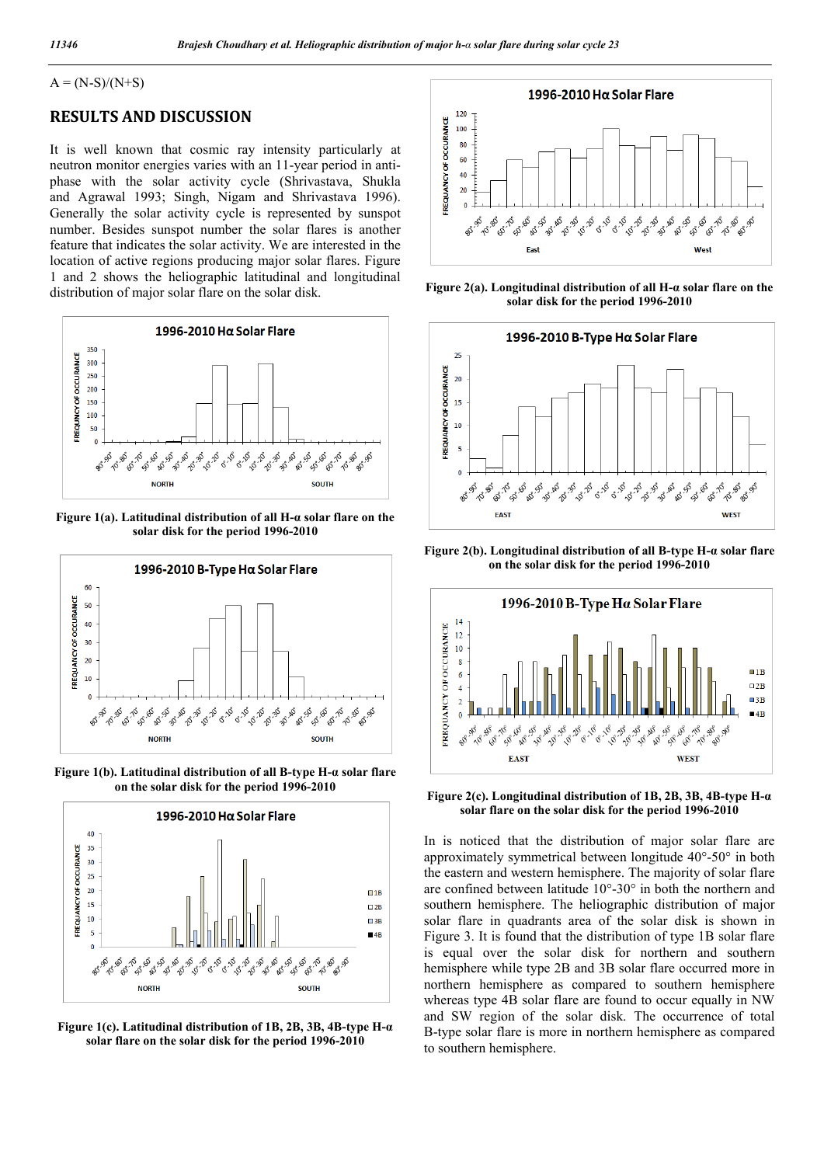### $A = (N-S)/(N+S)$

## **RESULTS AND DISCUSSION**

It is well known that cosmic ray intensity particularly at neutron monitor energies varies with an 11-year period in antiphase with the solar activity cycle (Shrivastava, Shukla and Agrawal 1993; Singh, Nigam and Shrivastava 1996). Generally the solar activity cycle is represented by sunspot number. Besides sunspot number the solar flares is another feature that indicates the solar activity. We are interested in the location of active regions producing major solar flares. Figure 1 and 2 shows the heliographic latitudinal and longitudinal distribution of major solar flare on the solar disk.



**Figure 1(a). Latitudinal distribution of all H-α solar flare on the solar disk for the period 1996-2010**



**Figure 1(b). Latitudinal distribution of all B-type H-α solar flare on the solar disk for the period 1996-2010**



**Figure 1(c). Latitudinal distribution of 1B, 2B, 3B, 4B-type H-α solar flare on the solar disk for the period 1996-2010**



**Figure 2(a). Longitudinal distribution of all H-α solar flare on the solar disk for the period 1996-2010**



**Figure 2(b). Longitudinal distribution of all B-type H-α solar flare on the solar disk for the period 1996-2010**



**Figure 2(c). Longitudinal distribution of 1B, 2B, 3B, 4B-type H-α solar flare on the solar disk for the period 1996-2010**

In is noticed that the distribution of major solar flare are approximately symmetrical between longitude 40°-50° in both the eastern and western hemisphere. The majority of solar flare are confined between latitude 10°-30° in both the northern and southern hemisphere. The heliographic distribution of major solar flare in quadrants area of the solar disk is shown in Figure 3. It is found that the distribution of type 1B solar flare is equal over the solar disk for northern and southern hemisphere while type 2B and 3B solar flare occurred more in northern hemisphere as compared to southern hemisphere whereas type 4B solar flare are found to occur equally in NW and SW region of the solar disk. The occurrence of total B-type solar flare is more in northern hemisphere as compared to southern hemisphere.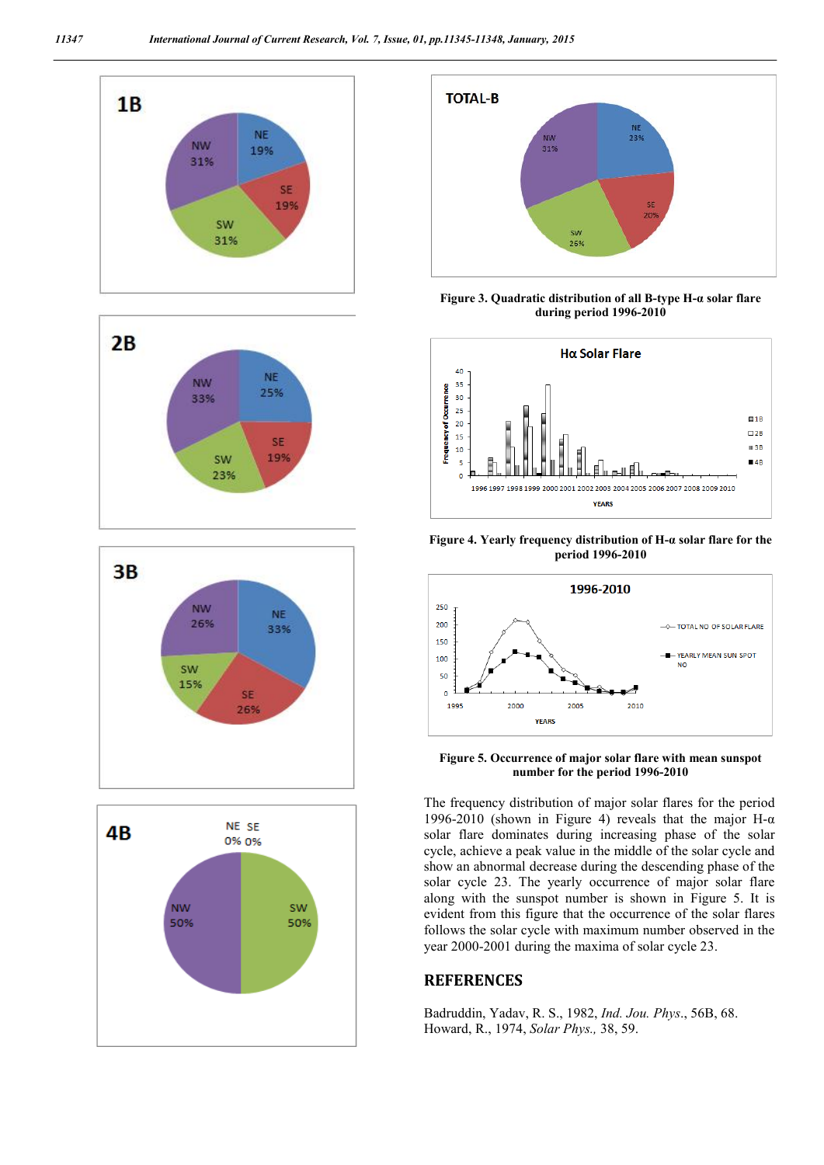









**Figure 3. Quadratic distribution of all B-type H-α solar flare during period 1996-2010**



**Figure 4. Yearly frequency distribution of H-α solar flare for the period 1996-2010**



**Figure 5. Occurrence of major solar flare with mean sunspot number for the period 1996-2010**

The frequency distribution of major solar flares for the period 1996-2010 (shown in Figure 4) reveals that the major H- $α$ solar flare dominates during increasing phase of the solar cycle, achieve a peak value in the middle of the solar cycle and show an abnormal decrease during the descending phase of the solar cycle 23. The yearly occurrence of major solar flare along with the sunspot number is shown in Figure 5. It is evident from this figure that the occurrence of the solar flares follows the solar cycle with maximum number observed in the year 2000-2001 during the maxima of solar cycle 23.

## **REFERENCES**

Badruddin, Yadav, R. S., 1982, *Ind. Jou. Phys*., 56B, 68. Howard, R., 1974, *Solar Phys.,* 38, 59.